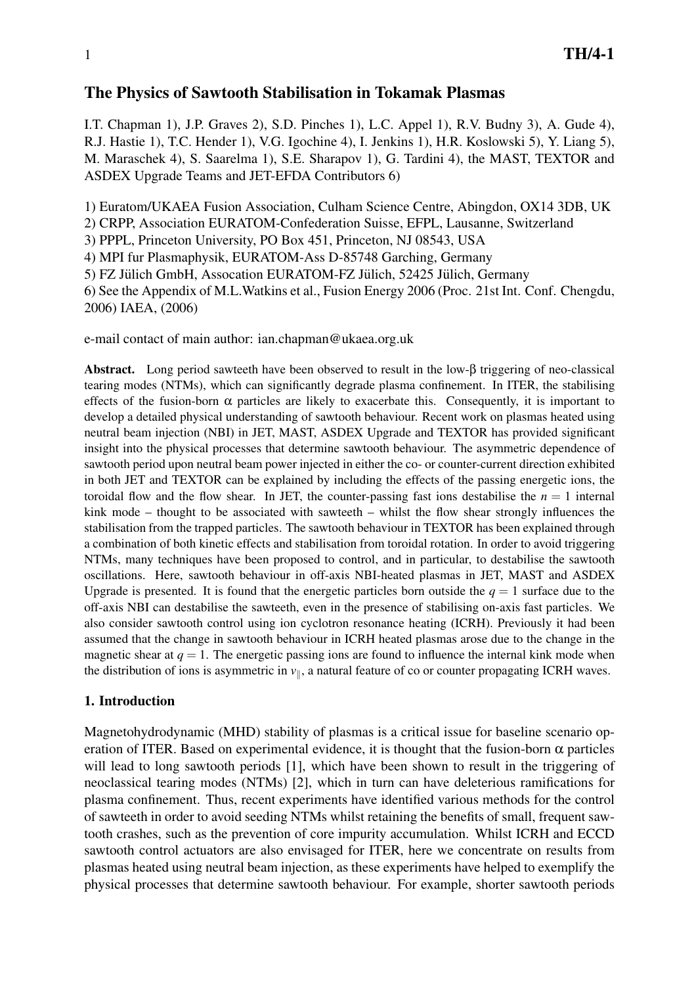# The Physics of Sawtooth Stabilisation in Tokamak Plasmas

I.T. Chapman 1), J.P. Graves 2), S.D. Pinches 1), L.C. Appel 1), R.V. Budny 3), A. Gude 4), R.J. Hastie 1), T.C. Hender 1), V.G. Igochine 4), I. Jenkins 1), H.R. Koslowski 5), Y. Liang 5), M. Maraschek 4), S. Saarelma 1), S.E. Sharapov 1), G. Tardini 4), the MAST, TEXTOR and ASDEX Upgrade Teams and JET-EFDA Contributors 6)

1) Euratom/UKAEA Fusion Association, Culham Science Centre, Abingdon, OX14 3DB, UK

2) CRPP, Association EURATOM-Confederation Suisse, EFPL, Lausanne, Switzerland

3) PPPL, Princeton University, PO Box 451, Princeton, NJ 08543, USA

4) MPI fur Plasmaphysik, EURATOM-Ass D-85748 Garching, Germany

5) FZ Jülich GmbH, Assocation EURATOM-FZ Jülich, 52425 Jülich, Germany

6) See the Appendix of M.L.Watkins et al., Fusion Energy 2006 (Proc. 21st Int. Conf. Chengdu, 2006) IAEA, (2006)

e-mail contact of main author: ian.chapman@ukaea.org.uk

Abstract. Long period sawteeth have been observed to result in the low-β triggering of neo-classical tearing modes (NTMs), which can significantly degrade plasma confinement. In ITER, the stabilising effects of the fusion-born  $\alpha$  particles are likely to exacerbate this. Consequently, it is important to develop a detailed physical understanding of sawtooth behaviour. Recent work on plasmas heated using neutral beam injection (NBI) in JET, MAST, ASDEX Upgrade and TEXTOR has provided significant insight into the physical processes that determine sawtooth behaviour. The asymmetric dependence of sawtooth period upon neutral beam power injected in either the co- or counter-current direction exhibited in both JET and TEXTOR can be explained by including the effects of the passing energetic ions, the toroidal flow and the flow shear. In JET, the counter-passing fast ions destabilise the  $n = 1$  internal kink mode – thought to be associated with sawteeth – whilst the flow shear strongly influences the stabilisation from the trapped particles. The sawtooth behaviour in TEXTOR has been explained through a combination of both kinetic effects and stabilisation from toroidal rotation. In order to avoid triggering NTMs, many techniques have been proposed to control, and in particular, to destabilise the sawtooth oscillations. Here, sawtooth behaviour in off-axis NBI-heated plasmas in JET, MAST and ASDEX Upgrade is presented. It is found that the energetic particles born outside the  $q = 1$  surface due to the off-axis NBI can destabilise the sawteeth, even in the presence of stabilising on-axis fast particles. We also consider sawtooth control using ion cyclotron resonance heating (ICRH). Previously it had been assumed that the change in sawtooth behaviour in ICRH heated plasmas arose due to the change in the magnetic shear at  $q = 1$ . The energetic passing ions are found to influence the internal kink mode when the distribution of ions is asymmetric in  $v_{\parallel}$ , a natural feature of co or counter propagating ICRH waves.

## 1. Introduction

Magnetohydrodynamic (MHD) stability of plasmas is a critical issue for baseline scenario operation of ITER. Based on experimental evidence, it is thought that the fusion-born  $\alpha$  particles will lead to long sawtooth periods [1], which have been shown to result in the triggering of neoclassical tearing modes (NTMs) [2], which in turn can have deleterious ramifications for plasma confinement. Thus, recent experiments have identified various methods for the control of sawteeth in order to avoid seeding NTMs whilst retaining the benefits of small, frequent sawtooth crashes, such as the prevention of core impurity accumulation. Whilst ICRH and ECCD sawtooth control actuators are also envisaged for ITER, here we concentrate on results from plasmas heated using neutral beam injection, as these experiments have helped to exemplify the physical processes that determine sawtooth behaviour. For example, shorter sawtooth periods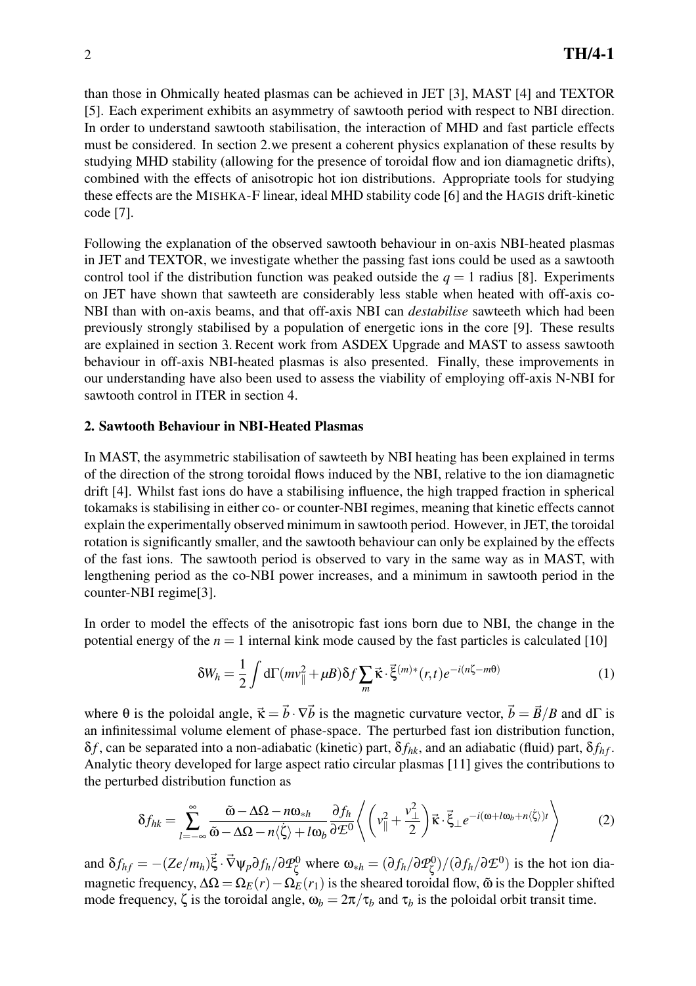than those in Ohmically heated plasmas can be achieved in JET [3], MAST [4] and TEXTOR [5]. Each experiment exhibits an asymmetry of sawtooth period with respect to NBI direction. In order to understand sawtooth stabilisation, the interaction of MHD and fast particle effects must be considered. In section 2.we present a coherent physics explanation of these results by studying MHD stability (allowing for the presence of toroidal flow and ion diamagnetic drifts), combined with the effects of anisotropic hot ion distributions. Appropriate tools for studying these effects are the MISHKA-F linear, ideal MHD stability code [6] and the HAGIS drift-kinetic code [7].

Following the explanation of the observed sawtooth behaviour in on-axis NBI-heated plasmas in JET and TEXTOR, we investigate whether the passing fast ions could be used as a sawtooth control tool if the distribution function was peaked outside the  $q = 1$  radius [8]. Experiments on JET have shown that sawteeth are considerably less stable when heated with off-axis co-NBI than with on-axis beams, and that off-axis NBI can *destabilise* sawteeth which had been previously strongly stabilised by a population of energetic ions in the core [9]. These results are explained in section 3. Recent work from ASDEX Upgrade and MAST to assess sawtooth behaviour in off-axis NBI-heated plasmas is also presented. Finally, these improvements in our understanding have also been used to assess the viability of employing off-axis N-NBI for sawtooth control in ITER in section 4..

#### 2. Sawtooth Behaviour in NBI-Heated Plasmas

In MAST, the asymmetric stabilisation of sawteeth by NBI heating has been explained in terms of the direction of the strong toroidal flows induced by the NBI, relative to the ion diamagnetic drift [4]. Whilst fast ions do have a stabilising influence, the high trapped fraction in spherical tokamaks is stabilising in either co- or counter-NBI regimes, meaning that kinetic effects cannot explain the experimentally observed minimum in sawtooth period. However, in JET, the toroidal rotation is significantly smaller, and the sawtooth behaviour can only be explained by the effects of the fast ions. The sawtooth period is observed to vary in the same way as in MAST, with lengthening period as the co-NBI power increases, and a minimum in sawtooth period in the counter-NBI regime[3].

In order to model the effects of the anisotropic fast ions born due to NBI, the change in the potential energy of the  $n = 1$  internal kink mode caused by the fast particles is calculated [10]

$$
\delta W_h = \frac{1}{2} \int d\Gamma(mv_{\parallel}^2 + \mu B) \delta f \sum_m \vec{\kappa} \cdot \vec{\xi}^{(m)*}(r, t) e^{-i(n\zeta - m\theta)} \tag{1}
$$

where  $\theta$  is the poloidal angle,  $\vec{\kappa} = \vec{b} \cdot \nabla \vec{b}$  is the magnetic curvature vector,  $\vec{b} = \vec{B}/B$  and d $\Gamma$  is an infinitessimal volume element of phase-space. The perturbed fast ion distribution function,  $\delta f$ , can be separated into a non-adiabatic (kinetic) part,  $\delta f_{hk}$ , and an adiabatic (fluid) part,  $\delta f_{hf}$ . Analytic theory developed for large aspect ratio circular plasmas [11] gives the contributions to the perturbed distribution function as

$$
\delta f_{hk} = \sum_{l=-\infty}^{\infty} \frac{\tilde{\omega} - \Delta \Omega - n \omega_{*h}}{\tilde{\omega} - \Delta \Omega - n \langle \dot{\zeta} \rangle + l \omega_b} \frac{\partial f_h}{\partial \mathcal{L}^0} \left\langle \left( v_{\parallel}^2 + \frac{v_{\perp}^2}{2} \right) \vec{\kappa} \cdot \vec{\xi}_{\perp} e^{-i(\omega + l \omega_b + n \langle \dot{\zeta} \rangle)t} \right\rangle \tag{2}
$$

and  $\delta f_{hf} = -(Ze/m_h)\vec{\xi} \cdot \vec{\nabla}\psi_p \partial f_h / \partial \mathcal{P}_\tau^0$  $\alpha_{\zeta}^{0}$  where  $\omega_{*h} = (\partial f_h / \partial \mathcal{P}_{\zeta}^{0})$  $\mathcal{L}_{\zeta}^{(0)}$ /( $\partial f_h / \partial \mathcal{L}^{(0)}$ ) is the hot ion diamagnetic frequency,  $\Delta \Omega = \Omega_E(r) - \Omega_E(r_1)$  is the sheared toroidal flow,  $\tilde{\omega}$  is the Doppler shifted mode frequency, ζ is the toroidal angle,  $ω_b = 2π/τ_b$  and  $τ_b$  is the poloidal orbit transit time.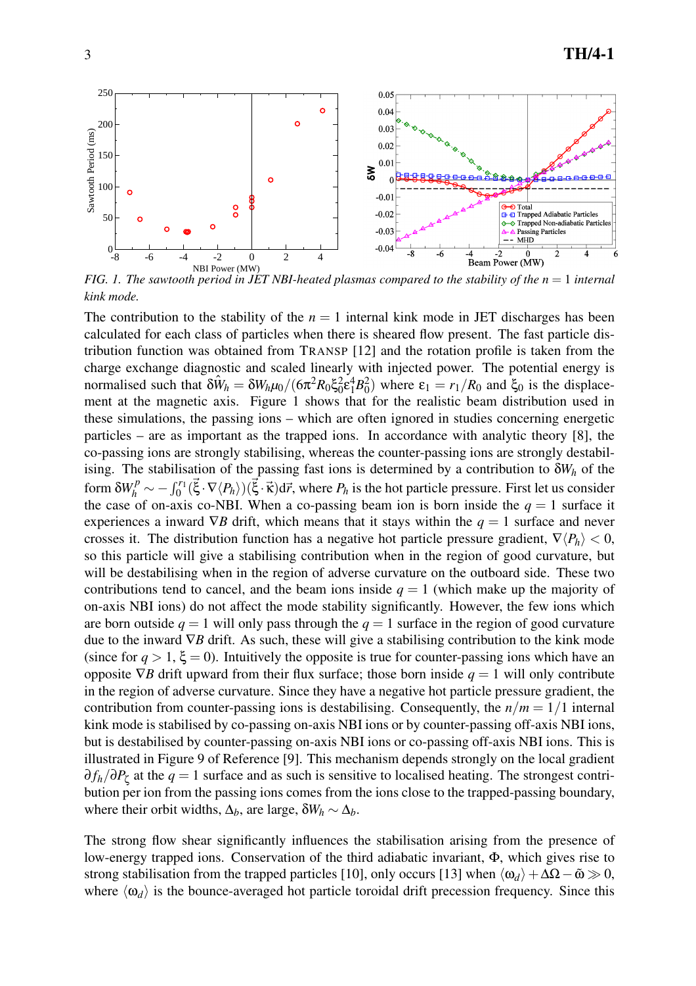

*FIG. 1. The sawtooth period in JET NBI-heated plasmas compared to the stability of the n* = 1 *internal kink mode.*

The contribution to the stability of the  $n = 1$  internal kink mode in JET discharges has been calculated for each class of particles when there is sheared flow present. The fast particle distribution function was obtained from TRANSP [12] and the rotation profile is taken from the charge exchange diagnostic and scaled linearly with injected power. The potential energy is normalised such that  $\delta \hat{W}_h = \delta W_h \mu_0 / (\delta \pi^2 R_0 \xi_0^2 \epsilon_1^4 B_0^2)$  where  $\epsilon_1 = r_1 / R_0$  and  $\xi_0$  is the displacement at the magnetic axis. Figure 1 shows that for the realistic beam distribution used in these simulations, the passing ions – which are often ignored in studies concerning energetic particles – are as important as the trapped ions. In accordance with analytic theory [8], the co-passing ions are strongly stabilising, whereas the counter-passing ions are strongly destabilising. The stabilisation of the passing fast ions is determined by a contribution to δ*W<sup>h</sup>* of the form  $\delta W_h^P \sim -\int_0^{r_1} (\vec{\xi} \cdot \nabla \langle P_h \rangle)(\vec{\xi} \cdot \vec{\kappa}) d\vec{r}$ , where  $P_h$  is the hot particle pressure. First let us consider the case of on-axis co-NBI. When a co-passing beam ion is born inside the  $q = 1$  surface it experiences a inward  $\nabla B$  drift, which means that it stays within the  $q = 1$  surface and never crosses it. The distribution function has a negative hot particle pressure gradient,  $\nabla \langle P_h \rangle < 0$ , so this particle will give a stabilising contribution when in the region of good curvature, but will be destabilising when in the region of adverse curvature on the outboard side. These two contributions tend to cancel, and the beam ions inside  $q = 1$  (which make up the majority of on-axis NBI ions) do not affect the mode stability significantly. However, the few ions which are born outside  $q = 1$  will only pass through the  $q = 1$  surface in the region of good curvature due to the inward ∇*B* drift. As such, these will give a stabilising contribution to the kink mode (since for  $q > 1$ ,  $\xi = 0$ ). Intuitively the opposite is true for counter-passing ions which have an opposite  $\nabla B$  drift upward from their flux surface; those born inside  $q = 1$  will only contribute in the region of adverse curvature. Since they have a negative hot particle pressure gradient, the contribution from counter-passing ions is destabilising. Consequently, the  $n/m = 1/1$  internal kink mode is stabilised by co-passing on-axis NBI ions or by counter-passing off-axis NBI ions, but is destabilised by counter-passing on-axis NBI ions or co-passing off-axis NBI ions. This is illustrated in Figure 9 of Reference [9]. This mechanism depends strongly on the local gradient ∂ *fh*/∂*P*<sup>ζ</sup> at the *q* = 1 surface and as such is sensitive to localised heating. The strongest contribution per ion from the passing ions comes from the ions close to the trapped-passing boundary, where their orbit widths,  $\Delta_b$ , are large,  $\delta W_h \sim \Delta_b$ .

The strong flow shear significantly influences the stabilisation arising from the presence of low-energy trapped ions. Conservation of the third adiabatic invariant, Φ, which gives rise to strong stabilisation from the trapped particles [10], only occurs [13] when  $\langle \omega_d \rangle + \Delta\Omega - \tilde{\omega} \gg 0$ , where  $\langle \omega_d \rangle$  is the bounce-averaged hot particle toroidal drift precession frequency. Since this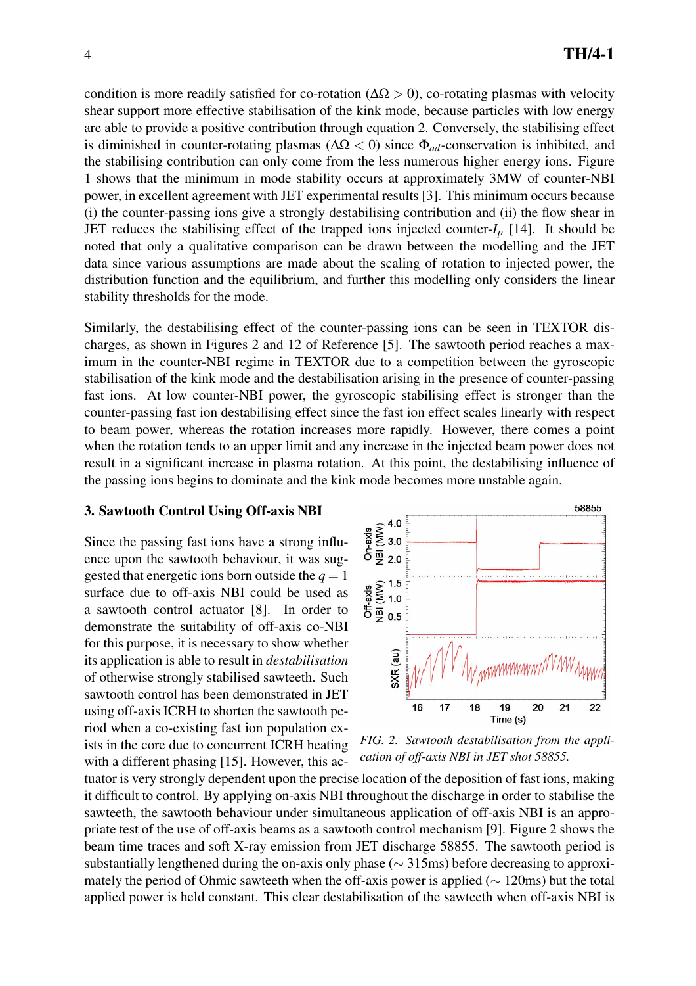condition is more readily satisfied for co-rotation ( $\Delta \Omega > 0$ ), co-rotating plasmas with velocity shear support more effective stabilisation of the kink mode, because particles with low energy are able to provide a positive contribution through equation 2. Conversely, the stabilising effect is diminished in counter-rotating plasmas ( $\Delta \Omega$  < 0) since  $\Phi_{ad}$ -conservation is inhibited, and the stabilising contribution can only come from the less numerous higher energy ions. Figure 1 shows that the minimum in mode stability occurs at approximately 3MW of counter-NBI power, in excellent agreement with JET experimental results [3]. This minimum occurs because (i) the counter-passing ions give a strongly destabilising contribution and (ii) the flow shear in JET reduces the stabilising effect of the trapped ions injected counter- $I_p$  [14]. It should be noted that only a qualitative comparison can be drawn between the modelling and the JET data since various assumptions are made about the scaling of rotation to injected power, the distribution function and the equilibrium, and further this modelling only considers the linear stability thresholds for the mode.

Similarly, the destabilising effect of the counter-passing ions can be seen in TEXTOR discharges, as shown in Figures 2 and 12 of Reference [5]. The sawtooth period reaches a maximum in the counter-NBI regime in TEXTOR due to a competition between the gyroscopic stabilisation of the kink mode and the destabilisation arising in the presence of counter-passing fast ions. At low counter-NBI power, the gyroscopic stabilising effect is stronger than the counter-passing fast ion destabilising effect since the fast ion effect scales linearly with respect to beam power, whereas the rotation increases more rapidly. However, there comes a point when the rotation tends to an upper limit and any increase in the injected beam power does not result in a significant increase in plasma rotation. At this point, the destabilising influence of the passing ions begins to dominate and the kink mode becomes more unstable again.

#### 3. Sawtooth Control Using Off-axis NBI

Since the passing fast ions have a strong influence upon the sawtooth behaviour, it was suggested that energetic ions born outside the  $q = 1$ surface due to off-axis NBI could be used as a sawtooth control actuator [8]. In order to demonstrate the suitability of off-axis co-NBI for this purpose, it is necessary to show whether its application is able to result in *destabilisation* of otherwise strongly stabilised sawteeth. Such sawtooth control has been demonstrated in JET using off-axis ICRH to shorten the sawtooth period when a co-existing fast ion population exists in the core due to concurrent ICRH heating with a different phasing [15]. However, this ac-



*FIG. 2. Sawtooth destabilisation from the application of off-axis NBI in JET shot 58855.*

tuator is very strongly dependent upon the precise location of the deposition of fast ions, making it difficult to control. By applying on-axis NBI throughout the discharge in order to stabilise the sawteeth, the sawtooth behaviour under simultaneous application of off-axis NBI is an appropriate test of the use of off-axis beams as a sawtooth control mechanism [9]. Figure 2 shows the beam time traces and soft X-ray emission from JET discharge 58855. The sawtooth period is substantially lengthened during the on-axis only phase ( $\sim$  315ms) before decreasing to approximately the period of Ohmic sawteeth when the off-axis power is applied (∼ 120ms) but the total applied power is held constant. This clear destabilisation of the sawteeth when off-axis NBI is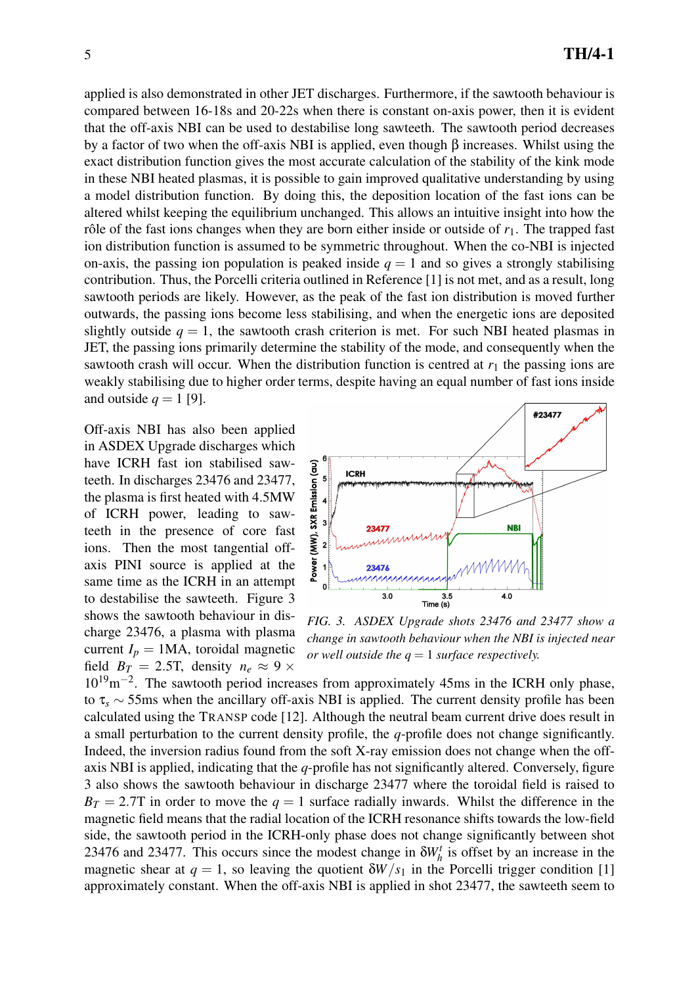applied is also demonstrated in other JET discharges. Furthermore, if the sawtooth behaviour is compared between 16-18s and 20-22s when there is constant on-axis power, then it is evident that the off-axis NBI can be used to destabilise long sawteeth. The sawtooth period decreases by a factor of two when the off-axis NBI is applied, even though  $\beta$  increases. Whilst using the exact distribution function gives the most accurate calculation of the stability of the kink mode in these NBI heated plasmas, it is possible to gain improved qualitative understanding by using a model distribution function. By doing this, the deposition location of the fast ions can be altered whilst keeping the equilibrium unchanged. This allows an intuitive insight into how the rôle of the fast ions changes when they are born either inside or outside of  $r_1$ . The trapped fast ion distribution function is assumed to be symmetric throughout. When the co-NBI is injected on-axis, the passing ion population is peaked inside  $q = 1$  and so gives a strongly stabilising contribution. Thus, the Porcelli criteria outlined in Reference [1] is not met, and as a result, long sawtooth periods are likely. However, as the peak of the fast ion distribution is moved further outwards, the passing ions become less stabilising, and when the energetic ions are deposited slightly outside  $q = 1$ , the sawtooth crash criterion is met. For such NBI heated plasmas in JET, the passing ions primarily determine the stability of the mode, and consequently when the sawtooth crash will occur. When the distribution function is centred at  $r_1$  the passing ions are weakly stabilising due to higher order terms, despite having an equal number of fast ions inside and outside  $q = 1$  [9].

Off-axis NBI has also been applied in ASDEX Upgrade discharges which have ICRH fast ion stabilised sawteeth. In discharges 23476 and 23477, the plasma is first heated with 4.5MW of ICRH power, leading to sawteeth in the presence of core fast ions. Then the most tangential offaxis PINI source is applied at the same time as the ICRH in an attempt to destabilise the sawteeth. Figure 3 shows the sawtooth behaviour in discharge 23476, a plasma with plasma current  $I_p = 1MA$ , toroidal magnetic field  $B_T = 2.5$ T, density  $n_e \approx 9 \times$ 



*FIG. 3. ASDEX Upgrade shots 23476 and 23477 show a change in sawtooth behaviour when the NBI is injected near or well outside the*  $q = 1$  *surface respectively.* 

10<sup>19</sup>m<sup>-2</sup>. The sawtooth period increases from approximately 45ms in the ICRH only phase, to τ*<sup>s</sup>* ∼ 55ms when the ancillary off-axis NBI is applied. The current density profile has been calculated using the TRANSP code [12]. Although the neutral beam current drive does result in a small perturbation to the current density profile, the *q*-profile does not change significantly. Indeed, the inversion radius found from the soft X-ray emission does not change when the offaxis NBI is applied, indicating that the *q*-profile has not significantly altered. Conversely, figure 3 also shows the sawtooth behaviour in discharge 23477 where the toroidal field is raised to  $B_T = 2.7$ T in order to move the  $q = 1$  surface radially inwards. Whilst the difference in the magnetic field means that the radial location of the ICRH resonance shifts towards the low-field side, the sawtooth period in the ICRH-only phase does not change significantly between shot 23476 and 23477. This occurs since the modest change in  $\delta W_h^t$  is offset by an increase in the magnetic shear at  $q = 1$ , so leaving the quotient  $\delta W/s_1$  in the Porcelli trigger condition [1] approximately constant. When the off-axis NBI is applied in shot 23477, the sawteeth seem to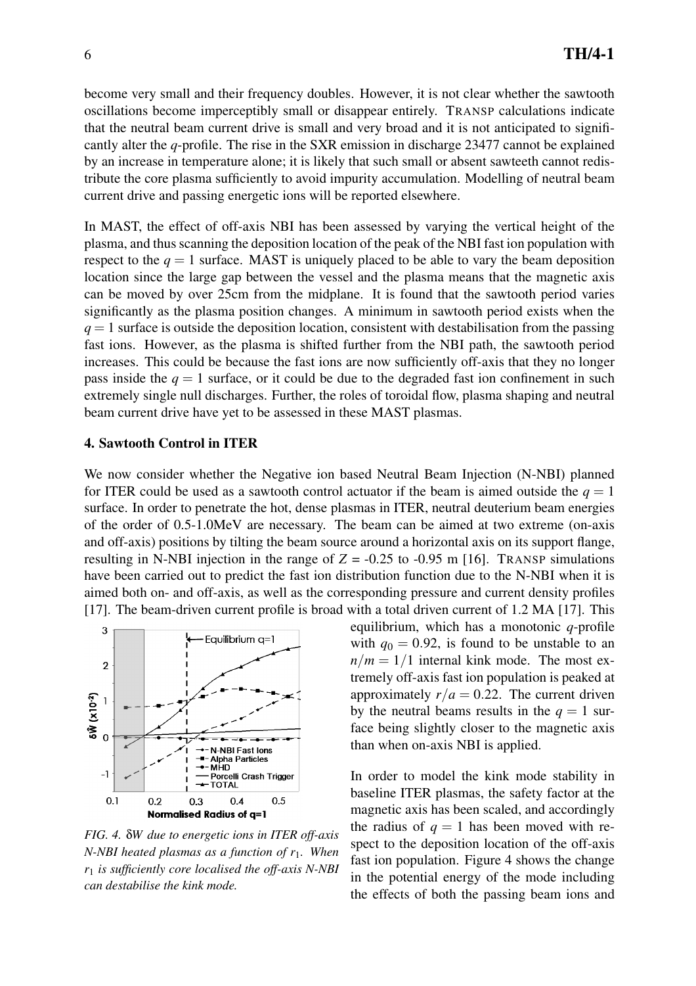become very small and their frequency doubles. However, it is not clear whether the sawtooth oscillations become imperceptibly small or disappear entirely. TRANSP calculations indicate that the neutral beam current drive is small and very broad and it is not anticipated to significantly alter the *q*-profile. The rise in the SXR emission in discharge 23477 cannot be explained by an increase in temperature alone; it is likely that such small or absent sawteeth cannot redistribute the core plasma sufficiently to avoid impurity accumulation. Modelling of neutral beam current drive and passing energetic ions will be reported elsewhere.

In MAST, the effect of off-axis NBI has been assessed by varying the vertical height of the plasma, and thus scanning the deposition location of the peak of the NBI fast ion population with respect to the  $q = 1$  surface. MAST is uniquely placed to be able to vary the beam deposition location since the large gap between the vessel and the plasma means that the magnetic axis can be moved by over 25cm from the midplane. It is found that the sawtooth period varies significantly as the plasma position changes. A minimum in sawtooth period exists when the  $q = 1$  surface is outside the deposition location, consistent with destabilisation from the passing fast ions. However, as the plasma is shifted further from the NBI path, the sawtooth period increases. This could be because the fast ions are now sufficiently off-axis that they no longer pass inside the  $q = 1$  surface, or it could be due to the degraded fast ion confinement in such extremely single null discharges. Further, the roles of toroidal flow, plasma shaping and neutral beam current drive have yet to be assessed in these MAST plasmas.

#### 4. Sawtooth Control in ITER

We now consider whether the Negative ion based Neutral Beam Injection (N-NBI) planned for ITER could be used as a sawtooth control actuator if the beam is aimed outside the  $q = 1$ surface. In order to penetrate the hot, dense plasmas in ITER, neutral deuterium beam energies of the order of 0.5-1.0MeV are necessary. The beam can be aimed at two extreme (on-axis and off-axis) positions by tilting the beam source around a horizontal axis on its support flange, resulting in N-NBI injection in the range of  $Z = -0.25$  to  $-0.95$  m [16]. TRANSP simulations have been carried out to predict the fast ion distribution function due to the N-NBI when it is aimed both on- and off-axis, as well as the corresponding pressure and current density profiles [17]. The beam-driven current profile is broad with a total driven current of 1.2 MA [17]. This



*FIG. 4.* δ*W due to energetic ions in ITER off-axis N-NBI heated plasmas as a function of r*1*. When r*<sup>1</sup> *is sufficiently core localised the off-axis N-NBI can destabilise the kink mode.*

equilibrium, which has a monotonic *q*-profile with  $q_0 = 0.92$ , is found to be unstable to an  $n/m = 1/1$  internal kink mode. The most extremely off-axis fast ion population is peaked at approximately  $r/a = 0.22$ . The current driven by the neutral beams results in the  $q = 1$  surface being slightly closer to the magnetic axis than when on-axis NBI is applied.

In order to model the kink mode stability in baseline ITER plasmas, the safety factor at the magnetic axis has been scaled, and accordingly the radius of  $q = 1$  has been moved with respect to the deposition location of the off-axis fast ion population. Figure 4 shows the change in the potential energy of the mode including the effects of both the passing beam ions and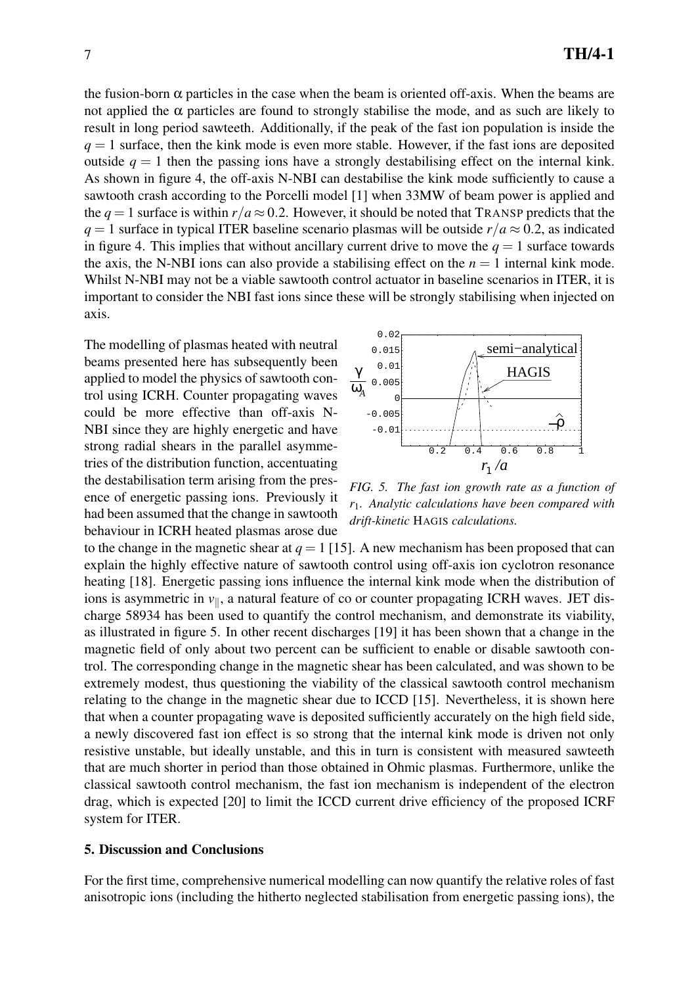the fusion-born  $\alpha$  particles in the case when the beam is oriented of f-axis. When the beams are not applied the  $\alpha$  particles are found to strongly stabilise the mode, and as such are likely to result in long period sawteeth. Additionally, if the peak of the fast ion population is inside the  $q = 1$  surface, then the kink mode is even more stable. However, if the fast ions are deposited outside  $q = 1$  then the passing ions have a strongly destabilising effect on the internal kink. As shown in figure 4, the off-axis N-NBI can destabilise the kink mode sufficiently to cause a sawtooth crash according to the Porcelli model [1] when 33MW of beam power is applied and the  $q = 1$  surface is within  $r/a \approx 0.2$ . However, it should be noted that TRANSP predicts that the  $q = 1$  surface in typical ITER baseline scenario plasmas will be outside  $r/a \approx 0.2$ , as indicated in figure 4. This implies that without ancillary current drive to move the  $q = 1$  surface towards the axis, the N-NBI ions can also provide a stabilising effect on the  $n = 1$  internal kink mode. Whilst N-NBI may not be a viable sawtooth control actuator in baseline scenarios in ITER, it is important to consider the NBI fast ions since these will be strongly stabilising when injected on axis.

The modelling of plasmas heated with neutral beams presented here has subsequently been applied to model the physics of sawtooth control using ICRH. Counter propagating waves could be more effective than off-axis N-NBI since they are highly energetic and have strong radial shears in the parallel asymmetries of the distribution function, accentuating the destabilisation term arising from the presence of energetic passing ions. Previously it had been assumed that the change in sawtooth behaviour in ICRH heated plasmas arose due



*FIG. 5. The fast ion growth rate as a function of r*1*. Analytic calculations have been compared with drift-kinetic* HAGIS *calculations.*

to the change in the magnetic shear at  $q = 1$  [15]. A new mechanism has been proposed that can explain the highly effective nature of sawtooth control using off-axis ion cyclotron resonance heating [18]. Energetic passing ions influence the internal kink mode when the distribution of ions is asymmetric in  $v_{\parallel}$ , a natural feature of co or counter propagating ICRH waves. JET discharge 58934 has been used to quantify the control mechanism, and demonstrate its viability, as illustrated in figure 5. In other recent discharges [19] it has been shown that a change in the magnetic field of only about two percent can be sufficient to enable or disable sawtooth control. The corresponding change in the magnetic shear has been calculated, and was shown to be extremely modest, thus questioning the viability of the classical sawtooth control mechanism relating to the change in the magnetic shear due to ICCD [15]. Nevertheless, it is shown here that when a counter propagating wave is deposited sufficiently accurately on the high field side, a newly discovered fast ion effect is so strong that the internal kink mode is driven not only resistive unstable, but ideally unstable, and this in turn is consistent with measured sawteeth that are much shorter in period than those obtained in Ohmic plasmas. Furthermore, unlike the classical sawtooth control mechanism, the fast ion mechanism is independent of the electron drag, which is expected [20] to limit the ICCD current drive efficiency of the proposed ICRF system for ITER.

#### 5. Discussion and Conclusions

For the first time, comprehensive numerical modelling can now quantify the relative roles of fast anisotropic ions (including the hitherto neglected stabilisation from energetic passing ions), the